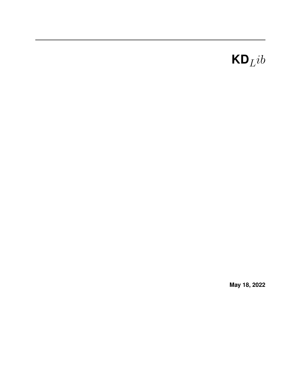# $\mathbf{KD}_Lib$

**May 18, 2022**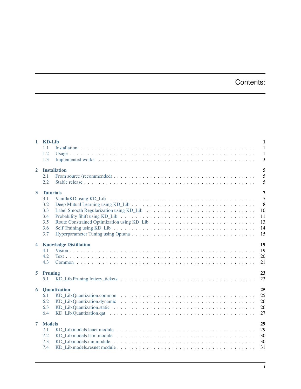# Contents:

| $\mathbf{1}$            | <b>KD-Lib</b>    | $\mathbf{1}$                                                                                                                      |                |
|-------------------------|------------------|-----------------------------------------------------------------------------------------------------------------------------------|----------------|
|                         | 1.1              | $\overline{1}$                                                                                                                    |                |
|                         | 1.2              | $\overline{1}$                                                                                                                    |                |
|                         | 1.3              |                                                                                                                                   | 3              |
| $\overline{2}$          |                  | <b>Installation</b>                                                                                                               | 5              |
|                         | 2.1              | 5                                                                                                                                 |                |
|                         | 2.2              |                                                                                                                                   | 5              |
| $\overline{3}$          | <b>Tutorials</b> |                                                                                                                                   | $\overline{7}$ |
|                         | 3.1              | $\overline{7}$                                                                                                                    |                |
|                         | 3.2              | 8<br>Deep Mutual Learning using KD_Lib $\ldots \ldots \ldots \ldots \ldots \ldots \ldots \ldots \ldots \ldots \ldots \ldots$      |                |
|                         | 3.3              | 10                                                                                                                                |                |
|                         | 3.4              | 11                                                                                                                                |                |
|                         | 3.5              | 13                                                                                                                                |                |
|                         | 3.6              | 14                                                                                                                                |                |
|                         | 3.7              | 15                                                                                                                                |                |
| $\overline{\mathbf{4}}$ |                  | 19<br><b>Knowledge Distillation</b>                                                                                               |                |
|                         | 4.1              | 19                                                                                                                                |                |
|                         | 4.2              | 20                                                                                                                                |                |
|                         | 4.3              | 21                                                                                                                                |                |
|                         | 5 Pruning        | 23                                                                                                                                |                |
|                         | 5.1              | 23                                                                                                                                |                |
|                         |                  |                                                                                                                                   |                |
| 6                       |                  | 25<br>Quantization                                                                                                                |                |
|                         | 6.1              | 25                                                                                                                                |                |
|                         | 6.2              | 26                                                                                                                                |                |
|                         | 6.3              | 26                                                                                                                                |                |
|                         | 6.4              | 27                                                                                                                                |                |
| 7                       | <b>Models</b>    | 29                                                                                                                                |                |
|                         | 7.1              | 29                                                                                                                                |                |
|                         | 7.2              | 30<br>KD Lib.models.lstm module $\dots \dots \dots \dots \dots \dots \dots \dots \dots \dots \dots \dots \dots \dots \dots \dots$ |                |
|                         | 7.3              | KD_Lib.models.nin module $\dots \dots \dots \dots \dots \dots \dots \dots \dots \dots \dots \dots \dots \dots \dots \dots$<br>30  |                |
|                         | 7.4              | 31                                                                                                                                |                |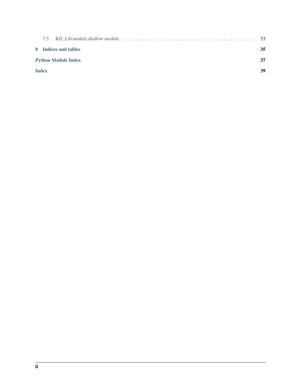| 7.5                        |                      |    |
|----------------------------|----------------------|----|
|                            | 8 Indices and tables | 35 |
| <b>Python Module Index</b> |                      |    |
| <b>Index</b>               |                      | 39 |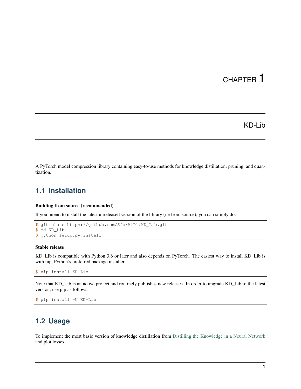# KD-Lib

<span id="page-4-0"></span>A PyTorch model compression library containing easy-to-use methods for knowledge distillation, pruning, and quantization.

## <span id="page-4-1"></span>**1.1 Installation**

## Building from source (recommended)

If you intend to install the latest unreleased version of the library (i.e from source), you can simply do:

```
$ git clone https://github.com/SforAiDl/KD_Lib.git
$ cd KD_Lib
$ python setup.py install
```
### Stable release

KD\_Lib is compatible with Python 3.6 or later and also depends on PyTorch. The easiest way to install KD\_Lib is with pip, Python's preferred package installer.

```
$ pip install KD-Lib
```
Note that KD\_Lib is an active project and routinely publishes new releases. In order to upgrade KD\_Lib to the latest version, use pip as follows.

```
$ pip install -U KD-Lib
```
## <span id="page-4-2"></span>**1.2 Usage**

To implement the most basic version of knowledge distillation from [Distilling the Knowledge in a Neural Network](https://arxiv.org/abs/1503.02531) and plot losses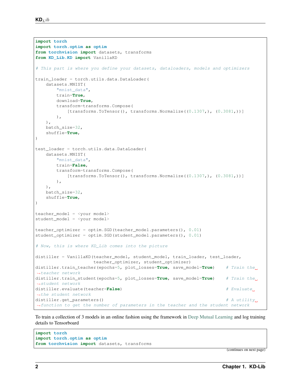```
import torch
import torch.optim as optim
from torchvision import datasets, transforms
from KD_Lib.KD import VanillaKD
# This part is where you define your datasets, dataloaders, models and optimizers
train_loader = torch.utils.data.DataLoader(
   datasets.MNIST(
       "mnist_data",
       train=True,
       download=True,
       transform=transforms.Compose(
           [transforms.Tofensor(), transforms.Normalize((0.1307), (0.3081))]
       ),
   ),
   batch_size=32,
   shuffle=True,
)
test_loader = torch.utils.data.DataLoader(
   datasets.MNIST(
       "mnist_data",
       train=False,
       transform=transforms.Compose(
           [transforms.ToTensor(), transforms.Normalize((0.1307,), (0.3081,))]
       ),
   ),
   batch_size=32,
   shuffle=True,
)
teacher_model = <your model>
student_model = <your model>
teacher_optimizer = optim.SGD(teacher_model.parameters(), 0.01)
student_optimizer = optim.SGD(student_model.parameters(), 0.01)
# Now, this is where KD_Lib comes into the picture
distiller = VanillaKD(teacher_model, student_model, train_loader, test_loader,
                     teacher_optimizer, student_optimizer)
distiller.train_teacher(epochs=5, plot_losses=True, save_model=True) # Train the
˓→teacher network
distiller.train_student(epochs=5, plot_losses=True, save_model=True) # Train the
˓→student network
distiller.evaluate(teacher=False) # Evaluate
˓→the student network
distiller.get_parameters() # A utility˓→function to get the number of parameters in the teacher and the student network
```
To train a collection of 3 models in an online fashion using the framework in [Deep Mutual Learning](https://arxiv.org/abs/1706.00384) and log training details to Tensorboard

```
import torch
import torch.optim as optim
from torchvision import datasets, transforms
```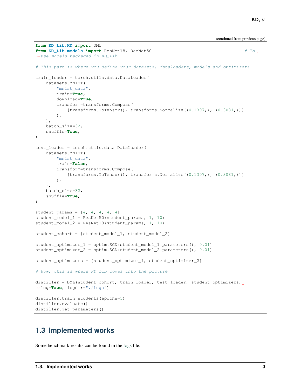(continued from previous page)

```
from KD_Lib.KD import DML
from KD_Lib.models import ResNet18, ResNet50 # To
˓→use models packaged in KD_Lib
# This part is where you define your datasets, dataloaders, models and optimizers
train_loader = torch.utils.data.DataLoader(
   datasets.MNIST(
       "mnist_data",
       train=True,
       download=True,
       transform=transforms.Compose(
            [transforms.ToTensor(), transforms.Normalize((0.1307,), (0.3081,))]
       ),
   ),
   batch_size=32,
    shuffle=True,
\lambdatest_loader = torch.utils.data.DataLoader(
    datasets.MNIST(
        "mnist_data",
       train=False,
       transform=transforms.Compose(
            [transforms.ToTensor(), transforms.Normalize((0.1307,), (0.3081,))]
       ),
   ),
   batch_size=32,
    shuffle=True,
)
student_params = [4, 4, 4, 4, 4]student_model_1 =ResNet50(student_params, 1, 10)
student_model_2 = ResNet18(student_params, 1, 10)
student_cohort = [student_model_1, student_model_2]
student_optimizer_1 = optim.SGD(student_model_1.parameters(), 0.01)
student_optimizer_2 = optim.SGD(student_model_2.parameters(), 0.01)
student optimizers = [student optimizer 1, student optimizer 2]
# Now, this is where KD_Lib comes into the picture
distiller = DML(student_cohort, train_loader, test_loader, student_optimizers,
˓→log=True, logdir="./Logs")
distiller.train_students(epochs=5)
distiller.evaluate()
distiller.get_parameters()
```
# <span id="page-6-0"></span>**1.3 Implemented works**

Some benchmark results can be found in the [logs](./logs.rst) file.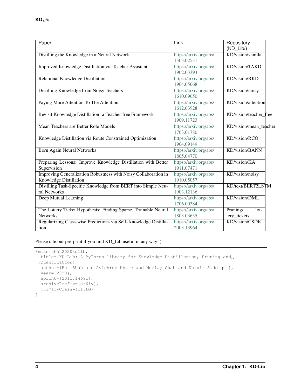| Paper                                                                                     | Link                                 | Repository<br>$(KD$ Lib/)          |  |  |
|-------------------------------------------------------------------------------------------|--------------------------------------|------------------------------------|--|--|
| Distilling the Knowledge in a Neural Network                                              | https://arxiv.org/abs/<br>1503.02531 | KD/vision/vanilla                  |  |  |
| Improved Knowledge Distillation via Teacher Assistant                                     | https://arxiv.org/abs/<br>1902.03393 | KD/vision/TAKD                     |  |  |
| Relational Knowledge Distillation                                                         | https://arxiv.org/abs/<br>1904.05068 | KD/vision/RKD                      |  |  |
| Distilling Knowledge from Noisy Teachers                                                  | https://arxiv.org/abs/<br>1610.09650 | KD/vision/noisy                    |  |  |
| Paying More Attention To The Attention                                                    | https://arxiv.org/abs/<br>1612.03928 | KD/vision/attention                |  |  |
| Revisit Knowledge Distillation: a Teacher-free Framework                                  | https://arxiv.org/abs/<br>1909.11723 | KD/vision/teacher free             |  |  |
| Mean Teachers are Better Role Models                                                      | https://arxiv.org/abs/<br>1703.01780 | KD/vision/mean_teacher             |  |  |
| Knowledge Distillation via Route Constrained Optimization                                 | https://arxiv.org/abs/<br>1904.09149 | KD/vision/RCO                      |  |  |
| <b>Born Again Neural Networks</b>                                                         | https://arxiv.org/abs/<br>1805.04770 | KD/vision/BANN                     |  |  |
| Preparing Lessons: Improve Knowledge Distillation with Better<br>Supervision              | https://arxiv.org/abs/<br>1911.07471 | KD/vision/KA                       |  |  |
| Improving Generalization Robustness with Noisy Collaboration in<br>Knowledge Distillation | https://arxiv.org/abs/<br>1910.05057 | KD/vision/noisy                    |  |  |
| Distilling Task-Specific Knowledge from BERT into Simple Neu-<br>ral Networks             | https://arxiv.org/abs/<br>1903.12136 | KD/text/BERT2LSTM                  |  |  |
| Deep Mutual Learning                                                                      | https://arxiv.org/abs/<br>1706.00384 | KD/vision/DML                      |  |  |
| The Lottery Ticket Hypothesis: Finding Sparse, Trainable Neural<br><b>Networks</b>        | https://arxiv.org/abs/<br>1803.03635 | Pruning/<br>$10t-$<br>tery_tickets |  |  |
| Regularizing Class-wise Predictions via Self- knowledge Distilla-<br>tion.                | https://arxiv.org/abs/<br>2003.13964 | KD/vision/CSDK                     |  |  |

Please cite our pre-print if you find KD\_Lib useful in any way :)

```
@misc{shah2020kdlib,
 title={KD-Lib: A PyTorch library for Knowledge Distillation, Pruning and
˓→Quantization},
 author={Het Shah and Avishree Khare and Neelay Shah and Khizir Siddiqui},
 year={2020},
 eprint={2011.14691},
 archivePrefix={arXiv},
 primaryClass={cs.LG}
}
```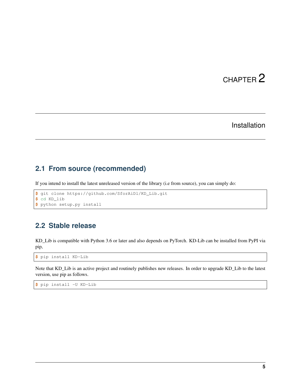# Installation

# <span id="page-8-1"></span><span id="page-8-0"></span>**2.1 From source (recommended)**

If you intend to install the latest unreleased version of the library (i.e from source), you can simply do:

```
$ git clone https://github.com/SforAiDl/KD_Lib.git
$ cd KD_lib
$ python setup.py install
```
# <span id="page-8-2"></span>**2.2 Stable release**

KD\_Lib is compatible with Python 3.6 or later and also depends on PyTorch. KD-Lib can be installed from PyPI via pip,

**\$** pip install KD-Lib

Note that KD\_Lib is an active project and routinely publishes new releases. In order to upgrade KD\_Lib to the latest version, use pip as follows.

```
$ pip install -U KD-Lib
```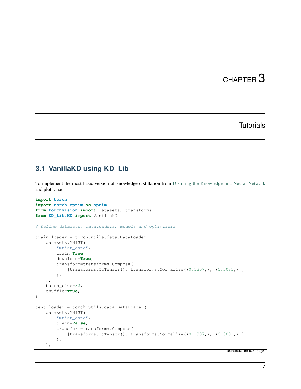# **Tutorials**

# <span id="page-10-1"></span><span id="page-10-0"></span>**3.1 VanillaKD using KD\_Lib**

To implement the most basic version of knowledge distillation from [Distilling the Knowledge in a Neural Network](https://arxiv.org/abs/1503.02531) and plot losses

```
import torch
import torch.optim as optim
from torchvision import datasets, transforms
from KD_Lib.KD import VanillaKD
# Define datasets, dataloaders, models and optimizers
train_loader = torch.utils.data.DataLoader(
    datasets.MNIST(
        "mnist_data",
        train=True,
        download=True,
        transform=transforms.Compose(
            [transforms.Tofensor(), transforms.Normalize((0.1307), (0.3081))]
        ),
    ),
    batch_size=32,
    shuffle=True,
)
test_loader = torch.utils.data.DataLoader(
    datasets.MNIST(
        "mnist_data",
        train=False,
        transform=transforms.Compose(
            [transforms.ToTensor(), transforms.Normalize((0.1307,), (0.3081,))]
        ),
    ),
```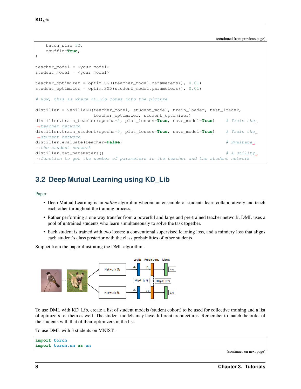(continued from previous page)

```
batch_size=32,
   shuffle=True,
)
teacher_model = <your model>
student_model = <your model>
teacher_optimizer = optim.SGD(teacher_model.parameters(), 0.01)
student_optimizer = optim.SGD(student_model.parameters(), 0.01)
# Now, this is where KD_Lib comes into the picture
distiller = VanillaKD(teacher_model, student_model, train_loader, test_loader,
                   teacher_optimizer, student_optimizer)
distiller.train_teacher(epochs=5, plot_losses=True, save_model=True) # Train the
˓→teacher network
distiller.train_student(epochs=5, plot_losses=True, save_model=True) # Train the
˓→student network
distiller.evaluate(teacher=False) # Evaluate
˓→the student network
distiller.get_parameters() # A utility˓→function to get the number of parameters in the teacher and the student network
```
# <span id="page-11-0"></span>**3.2 Deep Mutual Learning using KD\_Lib**

[Paper](https://arxiv.org/abs/1706.00384)

- Deep Mutual Learning is an *online* algortihm wherein an ensemble of students learn collaboratively and teach each other throughout the training process.
- Rather performing a one way transfer from a powerful and large and pre-trained teacher network, DML uses a pool of untrained students who learn simultaneously to solve the task together.
- Each student is trained with two losses: a conventional supervised learning loss, and a mimicry loss that aligns each student's class posterior with the class probabilities of other students.

Snippet from the paper illustrating the DML algorithm -



To use DML with KD\_Lib, create a list of student models (student cohort) to be used for collective training and a list of optmizers for them as well. The student models may have different architectures. Remember to match the order of the students with that of their optimizers in the list.

To use DML with 3 students on MNIST -

```
import torch
import torch.nn as nn
```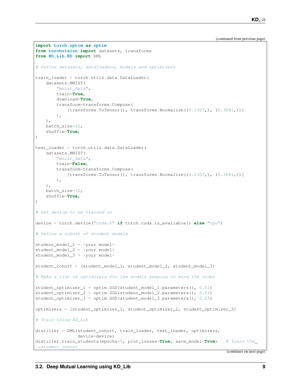(continued from previous page)

```
import torch.optim as optim
from torchvision import datasets, transforms
from KD_Lib.KD import DML
# Define datasets, dataloaders, models and optimizers
train_loader = torch.utils.data.DataLoader(
   datasets.MNIST(
       "mnist_data",
       train=True,
       download=True,
       transform=transforms.Compose(
            [transforms.ToTensor(), transforms.Normalize((0.1307,), (0.3081,))]
       ),
   ),
   batch_size=32,
    shuffle=True,
\lambdatest_loader = torch.utils.data.DataLoader(
   datasets.MNIST(
        "mnist_data",
       train=False,
       transform=transforms.Compose(
            [transforms.ToTensor(), transforms.Normalize((0.1307,), (0.3081,))]
       ),
   ),
   batch_size=32,
   shuffle=True,
)
# Set device to be trained on
device = torch.device("cuda:0" if torch.cuda.is_available() else "cpu")
# Define a cohort of student models
student_model_1 = <your model>
student_model_2 = <your model>
student_model_3 = <your model>
student_cohort = (student_model_1, student_model_2, student_model_3)
# Make a list of optimizers for the models keeping in mind the order
student_optimizer_1 = optim.SGD(student_model_1.parameters(), 0.01)
student_optimizer_2 = optim.SGD(student_model_2.parameters(), 0.01)
student_optimizer_3 = optim.SGD(student_model_3.parameters(), 0.01)
optimizers = [student_optimizer_1, student_optimizer_2, student_optimizer_3]
# Train using KD_Lib
distiller = DML(student cohort, train loader, test loader, optimizers,
                device=device)
distiller.train_students(epochs=5, plot_losses=True, save_model=True) # Train the
˓→student cohort
```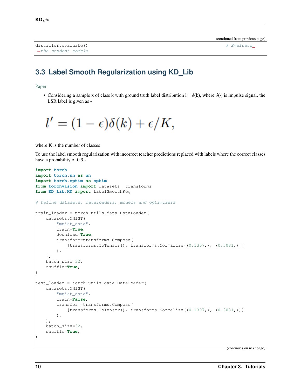```
distiller.evaluate() \qquad \qquad \qquad Evaluate.
˓→the student models
```
# <span id="page-13-0"></span>**3.3 Label Smooth Regularization using KD\_Lib**

[Paper](https://arxiv.org/abs/1911.07471)

• Considering a sample x of class k with ground truth label distribution  $l = \delta(k)$ , where  $\delta(\cdot)$  is impulse signal, the LSR label is given as -

$$
l' = (1 - \epsilon)\delta(k) + \epsilon/K,
$$

where K is the number of classes

To use the label smooth regularization with incorrect teacher predictions replaced with labels where the correct classes have a probability of 0.9 -

```
import torch
import torch.nn as nn
import torch.optim as optim
from torchvision import datasets, transforms
from KD_Lib.KD import LabelSmoothReg
# Define datasets, dataloaders, models and optimizers
train_loader = torch.utils.data.DataLoader(
   datasets.MNIST(
        "mnist_data",
        train=True,
        download=True,
        transform=transforms.Compose(
            [transforms.ToTensor(), transforms.Normalize((0.1307,), (0.3081,))]
        ),
    ),
   batch_size=32,
    shuffle=True,
)
test_loader = torch.utils.data.DataLoader(
    datasets.MNIST(
        "mnist_data",
        train=False,
        transform=transforms.Compose(
            [transforms.Tofensor(), transforms.Normalize((0.1307), (0.3081))]
        ),
    ),
   batch_size=32,
    shuffle=True,
)
```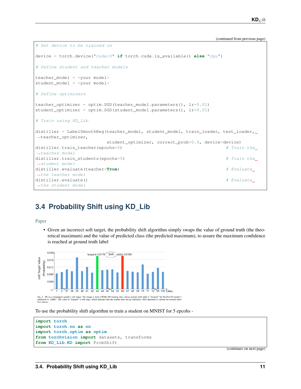(continued from previous page)

```
# Set device to be trained on
device = torch.device("cuda:0" if torch.cuda.is_available() else "cpu")
# Define student and teacher models
teacher_model = <your model>
student_model = <your model>
# Define optimizers
teacher_optimizer = optim.SGD(teacher_model.parameters(), lr=0.01)
student_optimizer = optim.SGD(student_model.parameters(), lr=0.01)
# Train using KD_Lib
distiller = LabelSmoothReg(teacher_model, student_model, train_loader, test_loader, u
˓→teacher_optimizer,
                      student_optimizer, correct_prob=0.9, device=device)
distiller.train_teacher(epochs=5) # Train the
˓→teacher model
distiller.train_students(epochs=5) # Train the
˓→student model
distiller.evaluate(teacher=True) # Evaluate
˓→the teacher model
distiller.evaluate() \# Evaluate()
˓→the student model
```
# <span id="page-14-0"></span>**3.4 Probability Shift using KD\_Lib**

## [Paper](https://arxiv.org/abs/1911.07471)

• Given an incorrect soft target, the probability shift algorithm simply swaps the value of ground truth (the theoretical maximum) and the value of predicted class (the predicted maximum), to assure the maximum confidence is reached at ground truth label



To use the probability shift algorithm to train a student on MNIST for 5 epcohs -

```
import torch
import torch.nn as nn
import torch.optim as optim
from torchvision import datasets, transforms
from KD_Lib.KD import ProbShift
```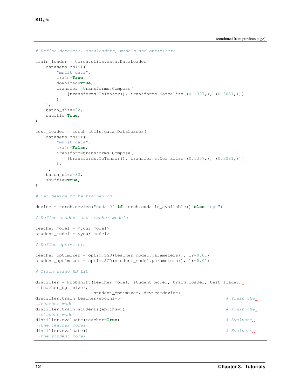```
# Define datasets, dataloaders, models and optimizers
train_loader = torch.utils.data.DataLoader(
   datasets.MNIST(
       "mnist_data",
       train=True,
       download=True,
       transform=transforms.Compose(
          [transforms.Tofensor(), transforms.Normalize((0.1307), (0.3081))]
       ),
   ),
   batch_size=32,
   shuffle=True,
\lambdatest_loader = torch.utils.data.DataLoader(
   datasets.MNIST(
       "mnist_data",
       train=False,
       transform=transforms.Compose(
           [transforms.ToTensor(), transforms.Normalize((0.1307,), (0.3081,))]
       ),
   ),
   batch_size=32,
   shuffle=True,
)
# Set device to be trained on
device = torch.device("cuda:0" if torch.cuda.is_available() else "cpu")
# Define student and teacher models
teacher_model = <your model>
student_model = <your model>
# Define optimizers
teacher_optimizer = optim.SGD(teacher_model.parameters(), lr=0.01)student optimizer = optim.SGD(student model.parameters(), lr=0.01)# Train using KD_Lib
distiller = ProbShift(teacher_model, student_model, train_loader, test_loader, u
˓→teacher_optimizer,
                    student_optimizer, device=device)
distiller.train_teacher(epochs=5) # Train the
˓→teacher model
distiller.train_students(epochs=5) # Train the
˓→student model
distiller.evaluate(teacher=True) # Evaluate
˓→the teacher model
distiller.evaluate() \# Evaluate.
˓→the student model
```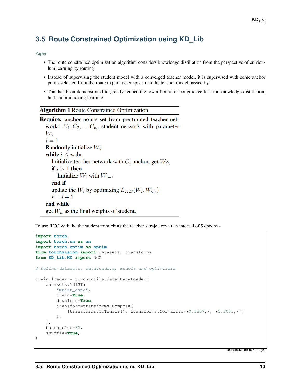# <span id="page-16-0"></span>**3.5 Route Constrained Optimization using KD\_Lib**

## [Paper](https://arxiv.org/abs/1904.09149)

- The route constrained optimization algorithm considers knowledge distillation from the perspective of curriculum learning by routing
- Instead of supervising the student model with a converged teacher model, it is supervised with some anchor points selected from the route in parameter space that the teacher model passed by
- This has been demonstrated to greatly reduce the lower bound of congruence loss for knowledge distillation, hint and mimicking learning

## **Algorithm 1 Route Constrained Optimization**

**Require:** anchor points set from pre-trained teacher network:  $C_1, C_2, ..., C_n$ , student network with parameter  $W_i$  $i=1$ Randomly initialize  $W_i$ while  $i \leq n$  do Initialize teacher network with  $C_i$  anchor, get  $W_{C_i}$ if  $i > 1$  then Initialize  $W_i$  with  $W_{i-1}$ end if update the  $W_i$  by optimizing  $L_{KD}(W_i, W_{C_i})$  $i=i+1$ end while get  $W_n$  as the final weights of student.

To use RCO with the the student mimicking the teacher's trajectory at an interval of 5 epochs -

```
import torch
import torch.nn as nn
import torch.optim as optim
from torchvision import datasets, transforms
from KD_Lib.KD import RCO
# Define datasets, dataloaders, models and optimizers
train_loader = torch.utils.data.DataLoader(
   datasets.MNIST(
        "mnist_data",
        train=True,
        download=True,
        transform=transforms.Compose(
            [transforms.ToTensor(), transforms.Normalize((0.1307,), (0.3081,))]
        ),
    ),
   batch_size=32,
    shuffle=True,
)
```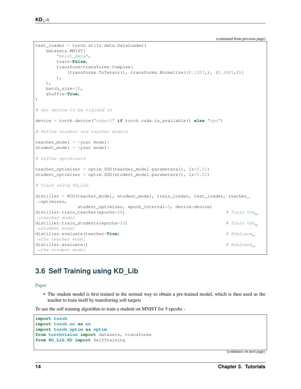(continues on next page)

 $\mathbf{KD}_Lib$ 

```
test_loader = torch.utils.data.DataLoader(
   datasets.MNIST(
      "mnist_data",
      train=False,
      transform=transforms.Compose(
          [transforms.Tofensor(), transforms.Normalize((0.1307), (0.3081))]
      ),
   ),
   batch_size=32,
   shuffle=True,
)
# Set device to be trained on
device = torch.device("cuda:0" if torch.cuda.is_available() else "cpu")
# Define student and teacher models
teacher_model = <your model>
student_model = <your model>
# Define optimizers
teacher_optimizer = optim.SGD(teacher_model.parameters(), lr=0.01)
student_optimizer = optim.SGD(student_model.parameters(), lr=0.01)
# Train using KD_Lib
distiller = RCO(teacher_model, student_model, train_loader, test_loader, teacher_
˓→optimizer,
             student_optimizer, epoch_interval=5, device=device)
distiller.train_teacher(epochs=20) # Train the
˓→teacher model
distiller.train_students(epochs=20) # Train the
˓→student model
distiller.evaluate(teacher=True) # Evaluate,˓→the teacher model
distiller.evaluate() \# Evaluate.
˓→the student model
```
# <span id="page-17-0"></span>**3.6 Self Training using KD\_Lib**

## [Paper](https://arxiv.org/abs/1909.11723)

• The student model is first trained in the normal way to obtain a pre-trained model, which is then used as the teacher to train itself by transferring soft targets

To use the self training algorithm to train a student on MNIST for 5 epcohs -

```
import torch
import torch.nn as nn
import torch.optim as optim
from torchvision import datasets, transforms
from KD_Lib.KD import SelfTraining
```
(continued from previous page)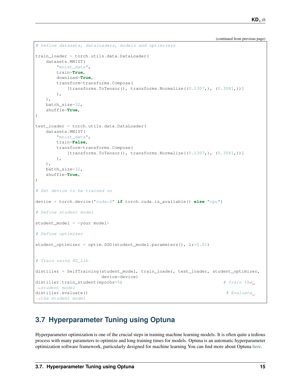(continued from previous page)

```
# Define datasets, dataloaders, models and optimizers
train_loader = torch.utils.data.DataLoader(
   datasets.MNIST(
       "mnist_data",
       train=True,
       download=True,
       transform=transforms.Compose(
           [transforms.ToTensor(), transforms.Normalize((0.1307,), (0.3081,))]
       ),
   ),
   batch_size=32,
   shuffle=True,
)
test_loader = torch.utils.data.DataLoader(
   datasets.MNIST(
       "mnist_data",
       train=False,
       transform=transforms.Compose(
           [transforms.ToTensor(), transforms.Normalize((0.1307,), (0.3081,))]
       ),
   ),
   batch_size=32,
   shuffle=True,
)
# Set device to be trained on
device = torch.device("cuda:0" if torch.cuda.is_available() else "cpu")
# Define student model
student_model = <your model>
# Define optimizer
student_optimizer = optim. SGD (student_model.parameters(), 1r=0.01)
# Train using KD_Lib
distiller = SelfTraining(student_model, train_loader, test_loader, student_optimizer,
                       device=device)
distiller.train_student(epochs=5) # Train the
˓→student model
distiller.evaluate() \# Evaluate()
˓→the student model
```
# <span id="page-18-0"></span>**3.7 Hyperparameter Tuning using Optuna**

Hyperparameter optimization is one of the crucial steps in training machine learning models. It is often quite a tedious process with many parameters to optimize and long training times for models. Optuna is an automatic hyperparameter optimization software framework, particularly designed for machine learning You can find more about Optuna [here.](https://github.com/optuna/optuna)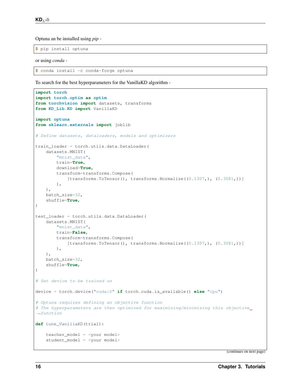Optuna an be installed using *pip* -

**\$** pip install optuna

or using *conda* -

```
$ conda install -c conda-forge optuna
```
To search for the best hyperparameters for the VanillaKD algorithm -

```
import torch
import torch.optim as optim
from torchvision import datasets, transforms
from KD_Lib.KD import VanillaKD
import optuna
from sklearn.externals import joblib
# Define datasets, dataloaders, models and optimizers
train_loader = torch.utils.data.DataLoader(
   datasets.MNIST(
        "mnist_data",
        train=True,
        download=True,
        transform=transforms.Compose(
            [transforms. ToTensor(), transforms.Normalize((0.1307), (0.3081))]
        ),
    ),
   batch_size=32,
    shuffle=True,
)
test_loader = torch.utils.data.DataLoader(
   datasets.MNIST(
        "mnist_data",
        train=False,
        transform=transforms.Compose(
            [transforms.ToTensor(), transforms.Normalize((0.1307,), (0.3081,))]
        ),
   ),
   batch_size=32,
    shuffle=True,
)
# Set device to be trained on
device = torch.device("cuda:0" if torch.cuda.is_available() else "cpu")
# Optuna requires defining an objective function
# The hyperparameters are then optimized for maximizing/minimizing this objective
ightharpoonup functiondef tune_VanillaKD(trial):
    teacher_model = <your model>
    student_model = <your model>
```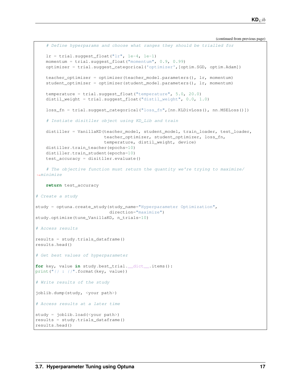(continued from previous page)

```
# Define hyperparams and choose what ranges they should be trialled for
   lr = trial.suggest_float("lr", 1e-4, 1e-1)
    momentum = trial.suggest_float("momentum", 0.9, 0.99)
    optimizer = trial.suggest_categorical('optimizer',[optim.SGD, optim.Adam])
    teacher_optimizer = optimizer(teacher_model.parameters(), lr, momentum)
    student_optimizer = optimizer(student_model.parameters(), lr, momentum)
    temperature = trial.suggest_float("temperature", 5.0, 20.0)
   distil_weight = trial.suggest_float("distil_weight", 0.0, 1.0)
    loss_fn = trial.suggest_categorical("loss_fn",[nn.KLDivLoss(), nn.MSELoss()])
    # Instiate disitller object using KD_Lib and train
    distiller = VanillaKD(teacher_model, student_model, train_loader, test_loader,
                          teacher_optimizer, student_optimizer, loss_fn,
                          temperature, distil_weight, device)
   distiller.train_teacher(epochs=10)
   distiller.train_student(epochs=10)
   test_accuracy = disitller.evaluate()
    # The objective function must return the quantity we're trying to maximize/
˓→minimize
    return test_accuracy
# Create a study
study = optuna.create_study(study_name="Hyperparameter Optimization",
                            direction="maximize")
study.optimize(tune_VanillaKD, n_trials=10)
# Access results
results = study.trials_dataframe()
results.head()
# Get best values of hyperparameter
for key, value in study.best_trial.__dict__.items():
print("\{} : \{}".format(key, value))
# Write results of the study
joblib.dump(study, <your path>)
# Access results at a later time
study = joblib.load(<your path>)
results = study.trials_dataframe()
results.head()
```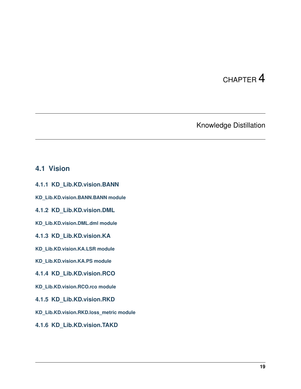# Knowledge Distillation

## <span id="page-22-1"></span><span id="page-22-0"></span>**4.1 Vision**

- **4.1.1 KD\_Lib.KD.vision.BANN**
- **KD\_Lib.KD.vision.BANN.BANN module**
- **4.1.2 KD\_Lib.KD.vision.DML**
- **KD\_Lib.KD.vision.DML.dml module**
- **4.1.3 KD\_Lib.KD.vision.KA**
- **KD\_Lib.KD.vision.KA.LSR module**
- **KD\_Lib.KD.vision.KA.PS module**
- **4.1.4 KD\_Lib.KD.vision.RCO**
- **KD\_Lib.KD.vision.RCO.rco module**
- **4.1.5 KD\_Lib.KD.vision.RKD**
- **KD\_Lib.KD.vision.RKD.loss\_metric module**
- **4.1.6 KD\_Lib.KD.vision.TAKD**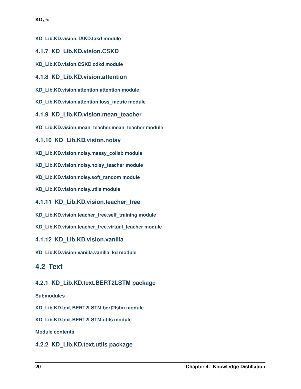- **KD\_Lib.KD.vision.TAKD.takd module**
- **4.1.7 KD\_Lib.KD.vision.CSKD**
- **KD\_Lib.KD.vision.CSKD.cdkd module**
- **4.1.8 KD\_Lib.KD.vision.attention**
- **KD\_Lib.KD.vision.attention.attention module**
- **KD\_Lib.KD.vision.attention.loss\_metric module**
- **4.1.9 KD\_Lib.KD.vision.mean\_teacher**
- **KD\_Lib.KD.vision.mean\_teacher.mean\_teacher module**
- **4.1.10 KD\_Lib.KD.vision.noisy**
- **KD\_Lib.KD.vision.noisy.messy\_collab module**
- **KD\_Lib.KD.vision.noisy.noisy\_teacher module**
- **KD\_Lib.KD.vision.noisy.soft\_random module**
- **KD\_Lib.KD.vision.noisy.utils module**
- **4.1.11 KD\_Lib.KD.vision.teacher\_free**
- **KD\_Lib.KD.vision.teacher\_free.self\_training module**
- **KD\_Lib.KD.vision.teacher\_free.virtual\_teacher module**
- **4.1.12 KD\_Lib.KD.vision.vanilla**
- **KD\_Lib.KD.vision.vanilla.vanilla\_kd module**

# <span id="page-23-0"></span>**4.2 Text**

## **4.2.1 KD\_Lib.KD.text.BERT2LSTM package**

## **Submodules**

- **KD\_Lib.KD.text.BERT2LSTM.bert2lstm module**
- **KD\_Lib.KD.text.BERT2LSTM.utils module**

**Module contents**

## **4.2.2 KD\_Lib.KD.text.utils package**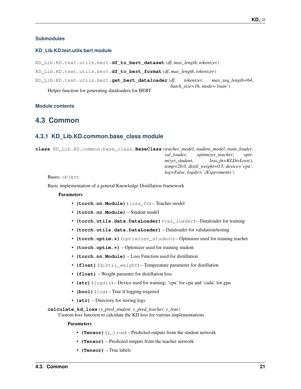## <span id="page-24-4"></span>**Submodules**

## <span id="page-24-3"></span>**KD\_Lib.KD.text.utils.bert module**

KD\_Lib.KD.text.utils.bert.**df\_to\_bert\_dataset**(*df*, *max\_length*, *tokenizer*) KD\_Lib.KD.text.utils.bert.**df\_to\_bert\_format**(*df*, *max\_length*, *tokenizer*) KD\_Lib.KD.text.utils.bert.**get\_bert\_dataloader**(*df*, *tokenizer*, *max\_seq\_length=64*, *batch\_size=16*, *mode='train'*) Helper function for generating dataloaders for BERT

## <span id="page-24-2"></span>**Module contents**

## <span id="page-24-0"></span>**4.3 Common**

## <span id="page-24-1"></span>**4.3.1 KD\_Lib.KD.common.base\_class module**

**class** KD\_Lib.KD.common.base\_class.**BaseClass**(*teacher\_model*, *student\_model*, *train\_loader*, *val\_loader*, *optimizer\_teacher*, *optimizer\_student*, *loss\_fn=KLDivLoss()*, *temp=20.0*, *distil\_weight=0.5*, *device='cpu'*, *log=False*, *logdir='./Experiments'*)

Bases: object

Basic implementation of a general Knowledge Distillation framework

#### Parameters

- **(torch.nn.Module)** (loss\_fn) Teacher model
- **(torch.nn.Module)** Student model
- **(torch.utils.data.DataLoader)** (val\_loader) Dataloader for training
- **(torch.utils.data.DataLoader)** Dataloader for validation/testing
- **(torch.optim.\*)** (*optimizer student*) Optimizer used for training teacher
- **(torch.optim.\*)** Optimizer used for training student
- **(torch.nn.Module)** Loss Function used for distillation
- **(float)** (distil\_weight) Temperature parameter for distillation
- **(float)** Weight paramter for distillation loss
- **(str)** (logdir) Device used for training; 'cpu' for cpu and 'cuda' for gpu
- **(bool)**  $(log)$  True if logging required
- **(str)** Directory for storing logs

**calculate\_kd\_loss**(*y\_pred\_student*, *y\_pred\_teacher*, *y\_true*)

Custom loss function to calculate the KD loss for various implementations

- **(Tensor)**  $(y_t$  true) Predicted outputs from the student network
- **(Tensor)** Predicted outputs from the teacher network
- **(Tensor)** True labels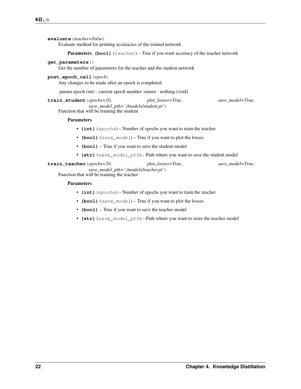```
evaluate(teacher=False)
```
Evaluate method for printing accuracies of the trained network

Parameters (bool) (teacher) – True if you want accuracy of the teacher network

## **get\_parameters**()

Get the number of parameters for the teacher and the student network

## **post\_epoch\_call**(*epoch*)

Any changes to be made after an epoch is completed.

:param epoch (int) : current epoch number :return : nothing (void)

**train\_student**(*epochs=10*, *plot\_losses=True*, *save\_model=True*, *save\_model\_pth='./models/student.pt'*)

Function that will be training the student

## Parameters

- **(int)** (epochs) Number of epochs you want to train the teacher
- **(bool)** (save\_model) True if you want to plot the losses
- **(bool)** True if you want to save the student model
- **(str)** (save\_model\_pth) Path where you want to save the student model

**train\_teacher**(*epochs=20*, *plot\_losses=True*, *save\_model=True*, *save\_model\_pth='./models/teacher.pt'*)

Function that will be training the teacher

- **(int)** (epochs) Number of epochs you want to train the teacher
- **(bool)** (save\_model) True if you want to plot the losses
- **(bool)** True if you want to save the teacher model
- **(str)** (save\_model\_pth) Path where you want to store the teacher model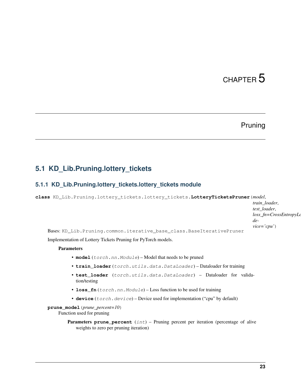# Pruning

# <span id="page-26-3"></span><span id="page-26-1"></span><span id="page-26-0"></span>**5.1 KD\_Lib.Pruning.lottery\_tickets**

## <span id="page-26-2"></span>**5.1.1 KD\_Lib.Pruning.lottery\_tickets.lottery\_tickets module**

**class** KD\_Lib.Pruning.lottery\_tickets.lottery\_tickets.**LotteryTicketsPruner**(*model*,

*train\_loader*, *test\_loader*, *loss\_fn=CrossEntropyLoss()*, *device='cpu'*)

Bases: KD\_Lib.Pruning.common.iterative\_base\_class.BaseIterativePruner

Implementation of Lottery Tickets Pruning for PyTorch models.

## **Parameters**

- model (torch.nn.Module) Model that needs to be pruned
- **train\_loader** (torch.utils.data.DataLoader) Dataloader for training
- **test\_loader** (torch.utils.data.DataLoader) Dataloader for validation/testing
- **loss\_fn** (torch.nn.Module) Loss function to be used for training
- **device** (torch.device) Device used for implementation ("cpu" by default)

**prune\_model**(*prune\_percent=10*)

Function used for pruning

Parameters **prune\_percent** (int) – Pruning percent per iteration (percentage of alive weights to zero per pruning iteration)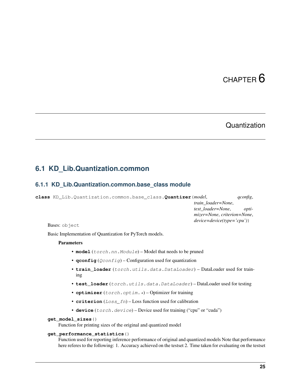# **Quantization**

## <span id="page-28-4"></span><span id="page-28-1"></span><span id="page-28-0"></span>**6.1 KD\_Lib.Quantization.common**

## <span id="page-28-3"></span>**6.1.1 KD\_Lib.Quantization.common.base\_class module**

<span id="page-28-2"></span>**class** KD\_Lib.Quantization.common.base\_class.**Quantizer**(*model*, *qconfig*, *train\_loader=None*, *test\_loader=None*, *optimizer=None*, *criterion=None*, *device=device(type='cpu')*)

Bases: object

Basic Implementation of Quantization for PyTorch models.

## Parameters

- model (torch.nn.Module) Model that needs to be pruned
- **qconfig** (Qconfig) Configuration used for quantization
- **train\_loader** (torch.utils.data.DataLoader) DataLoader used for training
- **test\_loader** (torch.utils.data.DataLoader) DataLoader used for testing
- **optimizer** (torch.optim.\*) Optimizer for training
- **criterion** (Loss\_fn) Loss function used for calibration
- **device** (torch.device) Device used for training ("cpu" or "cuda")

#### **get\_model\_sizes**()

Function for printing sizes of the original and quantized model

### **get\_performance\_statistics**()

Function used for reporting inference performance of original and quantized models Note that performance here referes to the following: 1. Accuracy achieved on the testset 2. Time taken for evaluating on the testset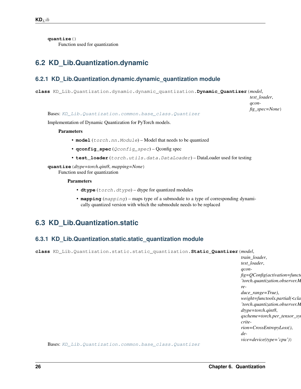<span id="page-29-4"></span>**quantize**() Function used for quantization

# <span id="page-29-0"></span>**6.2 KD\_Lib.Quantization.dynamic**

## <span id="page-29-2"></span>**6.2.1 KD\_Lib.Quantization.dynamic.dynamic\_quantization module**

**class** KD\_Lib.Quantization.dynamic.dynamic\_quantization.**Dynamic\_Quantizer**(*model*,

*test\_loader*, *qconfig\_spec=None*)

Bases: [KD\\_Lib.Quantization.common.base\\_class.Quantizer](#page-28-2)

Implementation of Dynamic Quantization for PyTorch models.

## Parameters

- **model** (torch.nn.Module) Model that needs to be quantized
- **qconfig\_spec** (Qconfig\_spec) Qconfig spec
- **test\_loader** (torch.utils.data.DataLoader) DataLoader used for testing

**quantize**(*dtype=torch.qint8*, *mapping=None*) Function used for quantization

## Parameters

- **dtype** (torch.dtype) dtype for quantized modules
- **mapping** (mapping) maps type of a submodule to a type of corresponding dynamically quantized version with which the submodule needs to be replaced

# <span id="page-29-1"></span>**6.3 KD\_Lib.Quantization.static**

## <span id="page-29-3"></span>**6.3.1 KD\_Lib.Quantization.static.static\_quantization module**

**class** KD\_Lib.Quantization.static.static\_quantization.**Static\_Quantizer**(*model*,

*train\_loader*, *test\_loader*, *qconfig=QConfig(activation=functools.partial(<class 'torch.quantization.observer.MinMaxObserver'>*, *reduce\_range=True)*, *weight=functools.partial(<class 'torch.quantization.observer.MinMaxObserver'>*, *dtype=torch.qint8*,  $qscheme=torch.per_tensor_s$ y *criterion=CrossEntropyLoss()*, *device=device(type='cpu')*)

Bases: [KD\\_Lib.Quantization.common.base\\_class.Quantizer](#page-28-2)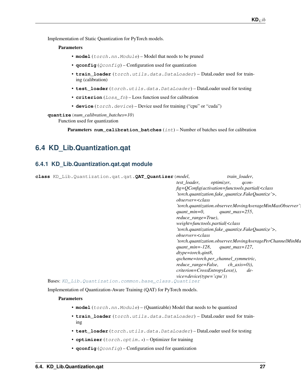<span id="page-30-2"></span>Implementation of Static Quantization for PyTorch models.

### **Parameters**

- **model** (torch.nn.Module) Model that needs to be pruned
- **qconfig** (Qconfig) Configuration used for quantization
- **train\_loader** (torch.utils.data.DataLoader) DataLoader used for training (calibration)
- **test\_loader** (torch.utils.data.DataLoader) DataLoader used for testing
- **criterion** (Loss\_fn) Loss function used for calibration
- **device** (torch.device) Device used for training ("cpu" or "cuda")

**quantize**(*num\_calibration\_batches=10*) Function used for quantization

Parameters **num\_calibration\_batches** (int) – Number of batches used for calibration

## <span id="page-30-0"></span>**6.4 KD\_Lib.Quantization.qat**

## <span id="page-30-1"></span>**6.4.1 KD\_Lib.Quantization.qat.qat module**

| class KD_Lib. Quantization. qat. qat. QAT_Quantizer (model, |                                                                              |                   | train loader,                                     |                                                           |
|-------------------------------------------------------------|------------------------------------------------------------------------------|-------------------|---------------------------------------------------|-----------------------------------------------------------|
|                                                             | test loader,                                                                 | <i>optimizer,</i> | $acon-$                                           |                                                           |
|                                                             |                                                                              |                   | $fig=QConfig(activation=functools, partial($      |                                                           |
|                                                             |                                                                              |                   | 'torch.quantization.fake_quantize.FakeQuantize'>, |                                                           |
|                                                             | $observer = < class$                                                         |                   |                                                   |                                                           |
|                                                             |                                                                              |                   |                                                   | 'torch.quantization.observer.MovingAverageMinMaxObserver' |
|                                                             | $quant\_min=0,$                                                              |                   | quant $max=255$ ,                                 |                                                           |
|                                                             | reduce range=True),                                                          |                   |                                                   |                                                           |
|                                                             | weight=functools.partial( <class< th=""><th></th><th></th><th></th></class<> |                   |                                                   |                                                           |
|                                                             |                                                                              |                   | 'torch.quantization.fake_quantize.FakeQuantize'>, |                                                           |
|                                                             | $observer = < class$                                                         |                   |                                                   |                                                           |
|                                                             |                                                                              |                   |                                                   | 'torch.quantization.observer.MovingAveragePerChannelMinMa |
|                                                             | quant_min= $-128$ ,                                                          |                   | quant max=127,                                    |                                                           |
|                                                             | $d$ type=torch.qint8,                                                        |                   |                                                   |                                                           |
|                                                             | qscheme=torch.per_channel_symmetric,                                         |                   |                                                   |                                                           |
|                                                             | $reduce\_range=False, \qquad ch\_axis=0),$                                   |                   |                                                   |                                                           |
|                                                             | $criterion = CrossEntropyLoss($ ),                                           |                   | $de-$                                             |                                                           |
|                                                             | $vice = device(type = 'cpu'))$                                               |                   |                                                   |                                                           |
| Bases: KD_Lib. Quantization. common. base_class. Quantizer  |                                                                              |                   |                                                   |                                                           |
|                                                             |                                                                              |                   |                                                   |                                                           |

Implementation of Quantization-Aware Training (QAT) for PyTorch models.

- **model** (torch.nn.Module) (Quantizable) Model that needs to be quantized
- **train\_loader** (torch.utils.data.DataLoader) DataLoader used for training
- **test\_loader** (torch.utils.data.DataLoader) DataLoader used for testing
- **optimizer** (torch.optim. \*) Optimizer for training
- **qconfig**  $(Q \text{confiq})$  Configuration used for quantization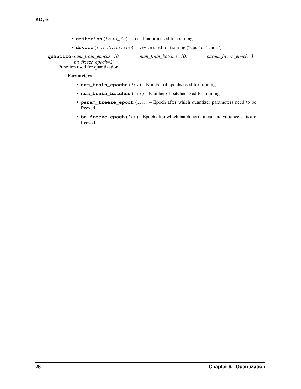- **criterion** (Loss\_fn) Loss function used for training
- device (torch.device) Device used for training ("cpu" or "cuda")

<span id="page-31-0"></span>**quantize**(*num\_train\_epochs=10*, *num\_train\_batches=10*, *param\_freeze\_epoch=3*, *bn\_freeze\_epoch=2*) Function used for quantization

- **num\_train\_epochs** (int) Number of epochs used for training
- **num\_train\_batches** (int) Number of batches used for training
- **param\_freeze\_epoch** (int) Epoch after which quantizer parameters need to be freezed
- **bn\_freeze\_epoch** (int) Epoch after which batch norm mean and variance stats are freezed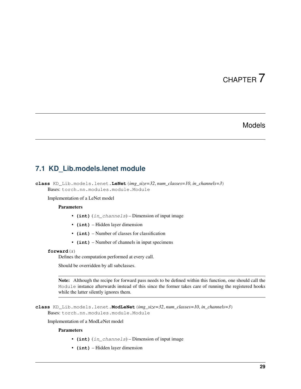# Models

## <span id="page-32-2"></span><span id="page-32-1"></span><span id="page-32-0"></span>**7.1 KD\_Lib.models.lenet module**

**class** KD\_Lib.models.lenet.**LeNet**(*img\_size=32*, *num\_classes=10*, *in\_channels=3*) Bases: torch.nn.modules.module.Module

Implementation of a LeNet model

### **Parameters**

- **(int)** (in\_channels) Dimension of input image
- **(int)** Hidden layer dimension
- **(int)** Number of classes for classification
- **(int)** Number of channels in input specimens

## **forward**(*x*)

Defines the computation performed at every call.

Should be overridden by all subclasses.

Note: Although the recipe for forward pass needs to be defined within this function, one should call the Module instance afterwards instead of this since the former takes care of running the registered hooks while the latter silently ignores them.

**class** KD\_Lib.models.lenet.**ModLeNet**(*img\_size=32*, *num\_classes=10*, *in\_channels=3*) Bases: torch.nn.modules.module.Module

Implementation of a ModLeNet model

- **(int)** (in\_channels) Dimension of input image
- **(int)** Hidden layer dimension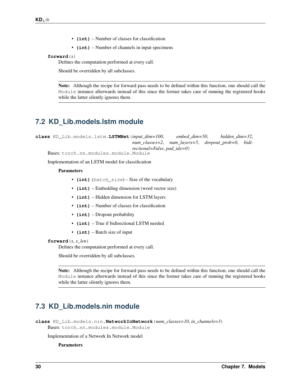- **(int)** Number of classes for classification
- **(int)** Number of channels in input specimens

## <span id="page-33-2"></span>**forward**(*x*)

Defines the computation performed at every call.

Should be overridden by all subclasses.

Note: Although the recipe for forward pass needs to be defined within this function, one should call the Module instance afterwards instead of this since the former takes care of running the registered hooks while the latter silently ignores them.

## <span id="page-33-0"></span>**7.2 KD\_Lib.models.lstm module**

**class** KD\_Lib.models.lstm.**LSTMNet**(*input\_dim=100*, *embed\_dim=50*, *hidden\_dim=32*, *num\_classes=2*, *num\_layers=5*, *dropout\_prob=0*, *bidirectional=False*, *pad\_idx=0*)

Bases: torch.nn.modules.module.Module

Implementation of an LSTM model for classification

## Parameters

- **(int)** (batch\_size) Size of the vocabulary
- **(int)** Embedding dimension (word vector size)
- **(int)** Hidden dimension for LSTM layers
- **(int)** Number of classes for classification
- **(int)** Dropout probability
- **(int)** True if bidirectional LSTM needed
- **(int)** Batch size of input

### **forward** $(x, x \text{ len})$

Defines the computation performed at every call.

Should be overridden by all subclasses.

Note: Although the recipe for forward pass needs to be defined within this function, one should call the Module instance afterwards instead of this since the former takes care of running the registered hooks while the latter silently ignores them.

# <span id="page-33-1"></span>**7.3 KD\_Lib.models.nin module**

```
class KD_Lib.models.nin.NetworkInNetwork(num_classes=10, in_channels=3)
    Bases: torch.nn.modules.module.Module
```
#### Implementation of a Network In Network model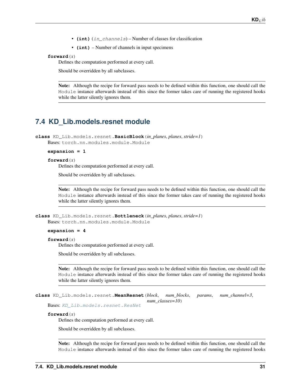- **(int)** (in channels) Number of classes for classification
- **(int)** Number of channels in input specimens

### <span id="page-34-1"></span>**forward**(*x*)

Defines the computation performed at every call.

Should be overridden by all subclasses.

Note: Although the recipe for forward pass needs to be defined within this function, one should call the Module instance afterwards instead of this since the former takes care of running the registered hooks while the latter silently ignores them.

## <span id="page-34-0"></span>**7.4 KD\_Lib.models.resnet module**

**class** KD\_Lib.models.resnet.**BasicBlock**(*in\_planes*, *planes*, *stride=1*) Bases: torch.nn.modules.module.Module

#### **expansion = 1**

#### **forward**(*x*)

Defines the computation performed at every call.

Should be overridden by all subclasses.

Note: Although the recipe for forward pass needs to be defined within this function, one should call the Module instance afterwards instead of this since the former takes care of running the registered hooks while the latter silently ignores them.

```
class KD_Lib.models.resnet.Bottleneck(in_planes, planes, stride=1)
    Bases: torch.nn.modules.module.Module
```
#### **expansion = 4**

#### **forward**(*x*)

Defines the computation performed at every call.

Should be overridden by all subclasses.

Note: Although the recipe for forward pass needs to be defined within this function, one should call the Module instance afterwards instead of this since the former takes care of running the registered hooks while the latter silently ignores them.

```
class KD_Lib.models.resnet.MeanResnet(block, num_blocks, params, num_channel=3,
                                         num_classes=10)
```
Bases: [KD\\_Lib.models.resnet.ResNet](#page-35-0)

### **forward**(*x*)

Defines the computation performed at every call.

Should be overridden by all subclasses.

Note: Although the recipe for forward pass needs to be defined within this function, one should call the Module instance afterwards instead of this since the former takes care of running the registered hooks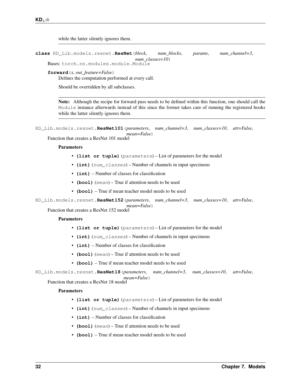<span id="page-35-1"></span>while the latter silently ignores them.

<span id="page-35-0"></span>**class** KD\_Lib.models.resnet.**ResNet**(*block*, *num\_blocks*, *params*, *num\_channel=3*, *num\_classes=10*)

Bases: torch.nn.modules.module.Module

**forward**(*x*, *out\_feature=False*)

Defines the computation performed at every call.

Should be overridden by all subclasses.

Note: Although the recipe for forward pass needs to be defined within this function, one should call the Module instance afterwards instead of this since the former takes care of running the registered hooks while the latter silently ignores them.

```
KD_Lib.models.resnet.ResNet101(parameters, num_channel=3, num_classes=10, att=False,
                                   mean=False)
```
Function that creates a ResNet 101 model

#### **Parameters**

- **(list or tuple)** (parameters) List of parameters for the model
- **(int)** (num\_classes) Number of channels in input specimens
- **(int)** Number of classes for classification
- **(bool)** (mean) True if attention needs to be used
- **(bool)** True if mean teacher model needs to be used

KD\_Lib.models.resnet.**ResNet152**(*parameters*, *num\_channel=3*, *num\_classes=10*, *att=False*, *mean=False*)

Function that creates a ResNet 152 model

#### **Parameters**

- **(list or tuple)** (parameters) List of parameters for the model
- **(int)** (num\_classes) Number of channels in input specimens
- **(int)** Number of classes for classification
- **(bool)** (mean) True if attention needs to be used
- **(bool)** True if mean teacher model needs to be used

KD\_Lib.models.resnet.**ResNet18**(*parameters*, *num\_channel=3*, *num\_classes=10*, *att=False*, *mean=False*)

Function that creates a ResNet 18 model

- **(list or tuple)** (parameters) List of parameters for the model
- **(int)** (num\_classes) Number of channels in input specimens
- **(int)** Number of classes for classification
- **(bool)** (mean) True if attention needs to be used
- **(bool)** True if mean teacher model needs to be used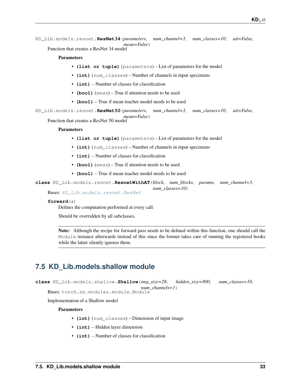```
KD_Lib.models.resnet.ResNet34(parameters, num_channel=3, num_classes=10, att=False,
                                  mean=False)
```
Function that creates a ResNet 34 model

## Parameters

- **(list or tuple)** (parameters) List of parameters for the model
- **(int)** (num\_classes) Number of channels in input specimens
- **(int)** Number of classes for classification
- **(bool)** (mean) True if attention needs to be used
- **(bool)** True if mean teacher model needs to be used

```
KD_Lib.models.resnet.ResNet50(parameters, num_channel=3, num_classes=10, att=False,
                                  mean=False)
```
Function that creates a ResNet 50 model

#### Parameters

- **(list or tuple)** (parameters) List of parameters for the model
- **(int)** (num\_classes) Number of channels in input specimens
- **(int)** Number of classes for classification
- **(bool)** (mean) True if attention needs to be used
- **(bool)** True if mean teacher model needs to be used

**class** KD\_Lib.models.resnet.**ResnetWithAT**(*block*, *num\_blocks*, *params*, *num\_channel=3*,

*num\_classes=10*)

## **forward**(*x*)

Defines the computation performed at every call.

Should be overridden by all subclasses.

Bases: [KD\\_Lib.models.resnet.ResNet](#page-35-0)

Note: Although the recipe for forward pass needs to be defined within this function, one should call the Module instance afterwards instead of this since the former takes care of running the registered hooks while the latter silently ignores them.

# <span id="page-36-0"></span>**7.5 KD\_Lib.models.shallow module**

**class** KD\_Lib.models.shallow.**Shallow**(*img\_size=28*, *hidden\_size=800*, *num\_classes=10*, *num\_channels=1*)

Bases: torch.nn.modules.module.Module

Implementation of a Shallow model

- **(int)** (num\_classes) Dimension of input image
- **(int)** Hidden layer dimension
- **(int)** Number of classes for classification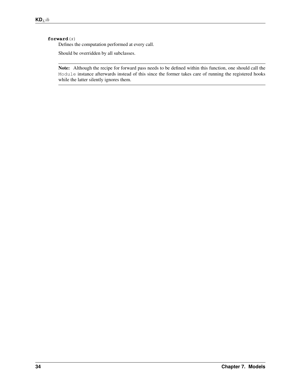## **forward**(*x*)

Defines the computation performed at every call.

Should be overridden by all subclasses.

Note: Although the recipe for forward pass needs to be defined within this function, one should call the Module instance afterwards instead of this since the former takes care of running the registered hooks while the latter silently ignores them.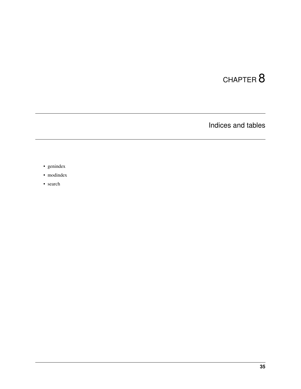Indices and tables

- <span id="page-38-0"></span>• genindex
- modindex
- search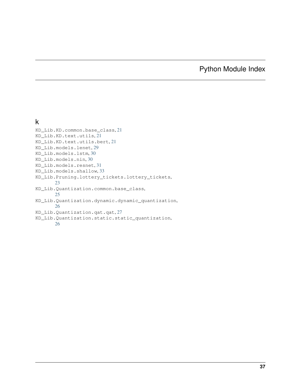# Python Module Index

# <span id="page-40-0"></span>k

| KD Lib.KD.common.base class,21                          |
|---------------------------------------------------------|
| KD Lib.KD.text.utils,21                                 |
| KD_Lib.KD.text.utils.bert,21                            |
| KD Lib.models.lenet.29                                  |
| KD Lib.models.lstm.30                                   |
| KD Lib.models.nin,30                                    |
| KD Lib.models.resnet.31                                 |
| KD_Lib.models.shallow, 33                               |
| KD_Lib.Pruning.lottery_tickets.lottery_tickets,<br>23   |
| KD_Lib.Quantization.common.base_class,<br>25            |
| KD Lib.Quantization.dynamic.dynamic quantization,<br>26 |
| KD Lib.Quantization.qat.qat,27                          |
| KD_Lib.Quantization.static.static_quantization,<br>26   |
|                                                         |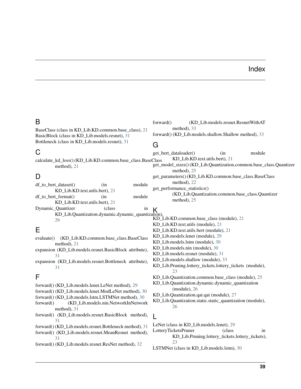## Index

## <span id="page-42-0"></span>B

BaseClass (class in KD\_Lib.KD.common.base\_class), [21](#page-24-4) BasicBlock (class in KD\_Lib.models.resnet), [31](#page-34-1) Bottleneck (class in KD\_Lib.models.resnet), [31](#page-34-1)

## C

calculate\_kd\_loss() (KD\_Lib.KD.common.base\_class.BaseClass method), [21](#page-24-4)

# D

| $df$ to bert dataset()                                                                                            | (in)                                                   | module | get_p            |  |  |  |  |
|-------------------------------------------------------------------------------------------------------------------|--------------------------------------------------------|--------|------------------|--|--|--|--|
| KD_Lib.KD.text.utils.bert), 21                                                                                    |                                                        |        |                  |  |  |  |  |
| $df$ to bert format()                                                                                             | (in                                                    | module |                  |  |  |  |  |
| KD_Lib.KD.text.utils.bert), 21                                                                                    |                                                        |        |                  |  |  |  |  |
| Dynamic_Quantizer                                                                                                 | (class)                                                | in     | K                |  |  |  |  |
| KD_Lib.Quantization.dynamic.dynamic_quantization),                                                                |                                                        |        |                  |  |  |  |  |
| 26                                                                                                                |                                                        |        | KD I             |  |  |  |  |
|                                                                                                                   |                                                        |        | $KD_1$           |  |  |  |  |
| Е                                                                                                                 |                                                        |        | KD_l             |  |  |  |  |
| evaluate() (KD_Lib.KD.common.base_class.BaseClass                                                                 |                                                        |        | $KD_$            |  |  |  |  |
| method), $21$                                                                                                     |                                                        |        | $KD_$<br>$KD_1$  |  |  |  |  |
|                                                                                                                   | expansion (KD_Lib.models.resnet.BasicBlock attribute), |        |                  |  |  |  |  |
| 31                                                                                                                |                                                        |        | $KD_1$<br>$KD_1$ |  |  |  |  |
| expansion (KD_Lib.models.resnet.Bottleneck attribute),                                                            |                                                        |        |                  |  |  |  |  |
| 31                                                                                                                |                                                        |        | KD_l             |  |  |  |  |
|                                                                                                                   |                                                        |        |                  |  |  |  |  |
| F                                                                                                                 |                                                        |        | KD_l             |  |  |  |  |
| forward() (KD_Lib.models.lenet.LeNet method), 29                                                                  |                                                        |        |                  |  |  |  |  |
|                                                                                                                   |                                                        |        |                  |  |  |  |  |
| forward() (KD_Lib.models.lenet.ModLeNet method), 30<br>$KD_$<br>forward() (KD_Lib.models.lstm.LSTMNet method), 30 |                                                        |        |                  |  |  |  |  |
|                                                                                                                   |                                                        |        | $\overline{r}$   |  |  |  |  |

- forward() (KD\_Lib.models.nin.NetworkInNetwork method), [31](#page-34-1)
- forward() (KD\_Lib.models.resnet.BasicBlock method), [31](#page-34-1)
- forward() (KD\_Lib.models.resnet.Bottleneck method), [31](#page-34-1)
- forward() (KD\_Lib.models.resnet.MeanResnet method), [31](#page-34-1)
- forward() (KD\_Lib.models.resnet.ResNet method), [32](#page-35-1)

forward() (KD\_Lib.models.resnet.ResnetWithAT method), [33](#page-36-1) forward() (KD\_Lib.models.shallow.Shallow method), [33](#page-36-1)

## G

get\_bert\_dataloader() (in module KD\_Lib.KD.text.utils.bert), [21](#page-24-4) get\_model\_sizes() (KD\_Lib.Quantization.common.base\_class.Quantizer method), [25](#page-28-4) get\_parameters() (KD\_Lib.KD.common.base\_class.BaseClass method), [22](#page-25-0) get\_performance\_statistics() (KD\_Lib.Quantization.common.base\_class.Quantizer method), [25](#page-28-4)

- $\delta$ n), KD\_Lib.KD.common.base\_class (module), [21](#page-24-4)
- KD\_Lib.KD.text.utils (module), [21](#page-24-4)
- KD\_Lib.KD.text.utils.bert (module), [21](#page-24-4)
- KD\_Lib.models.lenet (module), [29](#page-32-2)
- KD\_Lib.models.lstm (module), [30](#page-33-2)
- KD\_Lib.models.nin (module), [30](#page-33-2)
- KD\_Lib.models.resnet (module), [31](#page-34-1)
- KD\_Lib.models.shallow (module), [33](#page-36-1)
- KD\_Lib.Pruning.lottery\_tickets.lottery\_tickets (module), [23](#page-26-3)
- KD\_Lib.Quantization.common.base\_class (module), [25](#page-28-4)
- KD\_Lib.Quantization.dynamic.dynamic\_quantization (module), [26](#page-29-4)
- KD\_Lib.Quantization.qat.qat (module), [27](#page-30-2)

## $\mathbf{L}$

LeNet (class in KD\_Lib.models.lenet), [29](#page-32-2)

- LotteryTicketsPruner (class in KD\_Lib.Pruning.lottery\_tickets.lottery\_tickets), [23](#page-26-3)
- LSTMNet (class in KD\_Lib.models.lstm), [30](#page-33-2)

KD\_Lib.Quantization.static.static\_quantization (module), [26](#page-29-4)